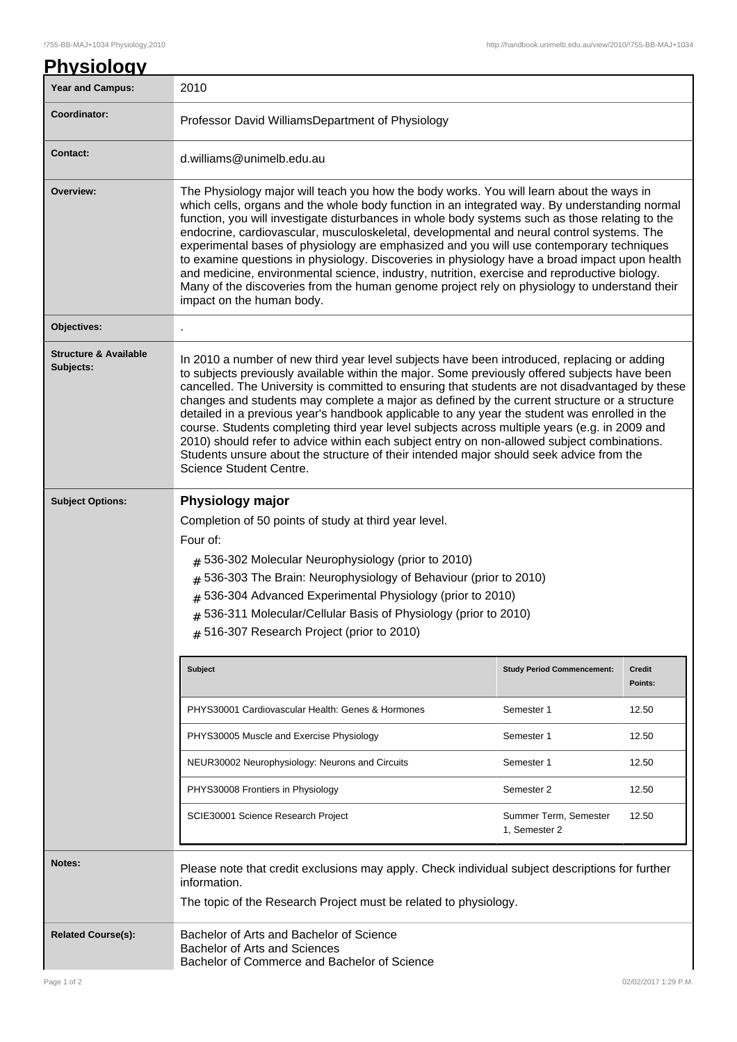| <b>Year and Campus:</b>                       | 2010                                                                                                                                                                                                                                                                                                                                                                                                                                                                                                                                                                                                                                                                                                                                                                                                                   |                                        |                          |  |  |
|-----------------------------------------------|------------------------------------------------------------------------------------------------------------------------------------------------------------------------------------------------------------------------------------------------------------------------------------------------------------------------------------------------------------------------------------------------------------------------------------------------------------------------------------------------------------------------------------------------------------------------------------------------------------------------------------------------------------------------------------------------------------------------------------------------------------------------------------------------------------------------|----------------------------------------|--------------------------|--|--|
| Coordinator:                                  | Professor David WilliamsDepartment of Physiology                                                                                                                                                                                                                                                                                                                                                                                                                                                                                                                                                                                                                                                                                                                                                                       |                                        |                          |  |  |
| <b>Contact:</b>                               | d.williams@unimelb.edu.au                                                                                                                                                                                                                                                                                                                                                                                                                                                                                                                                                                                                                                                                                                                                                                                              |                                        |                          |  |  |
| Overview:                                     | The Physiology major will teach you how the body works. You will learn about the ways in<br>which cells, organs and the whole body function in an integrated way. By understanding normal<br>function, you will investigate disturbances in whole body systems such as those relating to the<br>endocrine, cardiovascular, musculoskeletal, developmental and neural control systems. The<br>experimental bases of physiology are emphasized and you will use contemporary techniques<br>to examine questions in physiology. Discoveries in physiology have a broad impact upon health<br>and medicine, environmental science, industry, nutrition, exercise and reproductive biology.<br>Many of the discoveries from the human genome project rely on physiology to understand their<br>impact on the human body.    |                                        |                          |  |  |
| Objectives:                                   |                                                                                                                                                                                                                                                                                                                                                                                                                                                                                                                                                                                                                                                                                                                                                                                                                        |                                        |                          |  |  |
| <b>Structure &amp; Available</b><br>Subjects: | In 2010 a number of new third year level subjects have been introduced, replacing or adding<br>to subjects previously available within the major. Some previously offered subjects have been<br>cancelled. The University is committed to ensuring that students are not disadvantaged by these<br>changes and students may complete a major as defined by the current structure or a structure<br>detailed in a previous year's handbook applicable to any year the student was enrolled in the<br>course. Students completing third year level subjects across multiple years (e.g. in 2009 and<br>2010) should refer to advice within each subject entry on non-allowed subject combinations.<br>Students unsure about the structure of their intended major should seek advice from the<br>Science Student Centre. |                                        |                          |  |  |
| <b>Subject Options:</b>                       | Physiology major                                                                                                                                                                                                                                                                                                                                                                                                                                                                                                                                                                                                                                                                                                                                                                                                       |                                        |                          |  |  |
|                                               | Completion of 50 points of study at third year level.<br>Four of:<br>$#$ 536-302 Molecular Neurophysiology (prior to 2010)<br>$#$ 536-303 The Brain: Neurophysiology of Behaviour (prior to 2010)<br># 536-304 Advanced Experimental Physiology (prior to 2010)<br># 536-311 Molecular/Cellular Basis of Physiology (prior to 2010)<br>$#$ 516-307 Research Project (prior to 2010)                                                                                                                                                                                                                                                                                                                                                                                                                                    |                                        |                          |  |  |
|                                               | <b>Subject</b>                                                                                                                                                                                                                                                                                                                                                                                                                                                                                                                                                                                                                                                                                                                                                                                                         | <b>Study Period Commencement:</b>      | <b>Credit</b><br>Points: |  |  |
|                                               | PHYS30001 Cardiovascular Health: Genes & Hormones                                                                                                                                                                                                                                                                                                                                                                                                                                                                                                                                                                                                                                                                                                                                                                      | Semester 1                             | 12.50                    |  |  |
|                                               | PHYS30005 Muscle and Exercise Physiology                                                                                                                                                                                                                                                                                                                                                                                                                                                                                                                                                                                                                                                                                                                                                                               | Semester 1                             | 12.50                    |  |  |
|                                               | NEUR30002 Neurophysiology: Neurons and Circuits                                                                                                                                                                                                                                                                                                                                                                                                                                                                                                                                                                                                                                                                                                                                                                        | Semester 1                             | 12.50                    |  |  |
|                                               | PHYS30008 Frontiers in Physiology                                                                                                                                                                                                                                                                                                                                                                                                                                                                                                                                                                                                                                                                                                                                                                                      | Semester 2                             | 12.50                    |  |  |
|                                               | SCIE30001 Science Research Project                                                                                                                                                                                                                                                                                                                                                                                                                                                                                                                                                                                                                                                                                                                                                                                     | Summer Term, Semester<br>1, Semester 2 | 12.50                    |  |  |
| <b>Notes:</b>                                 | Please note that credit exclusions may apply. Check individual subject descriptions for further<br>information.<br>The topic of the Research Project must be related to physiology.                                                                                                                                                                                                                                                                                                                                                                                                                                                                                                                                                                                                                                    |                                        |                          |  |  |
| <b>Related Course(s):</b>                     | Bachelor of Arts and Bachelor of Science<br>Bachelor of Arts and Sciences<br>Bachelor of Commerce and Bachelor of Science                                                                                                                                                                                                                                                                                                                                                                                                                                                                                                                                                                                                                                                                                              |                                        |                          |  |  |